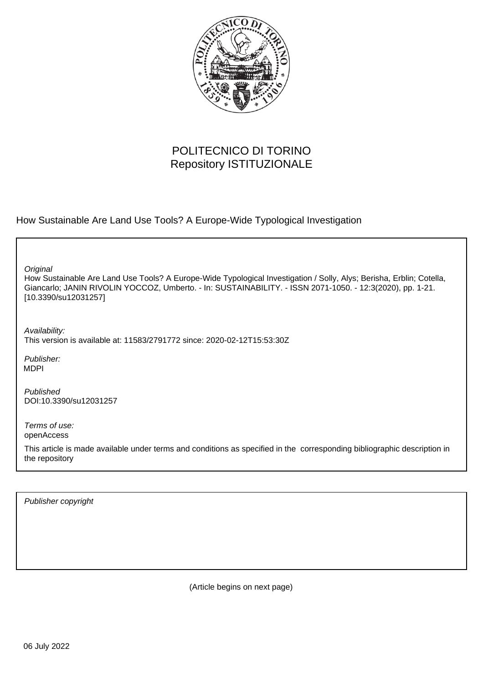

# POLITECNICO DI TORINO Repository ISTITUZIONALE

How Sustainable Are Land Use Tools? A Europe-Wide Typological Investigation

**Original** 

How Sustainable Are Land Use Tools? A Europe-Wide Typological Investigation / Solly, Alys; Berisha, Erblin; Cotella, Giancarlo; JANIN RIVOLIN YOCCOZ, Umberto. - In: SUSTAINABILITY. - ISSN 2071-1050. - 12:3(2020), pp. 1-21. [10.3390/su12031257]

Availability: This version is available at: 11583/2791772 since: 2020-02-12T15:53:30Z

Publisher: MDPI

Published DOI:10.3390/su12031257

Terms of use: openAccess

This article is made available under terms and conditions as specified in the corresponding bibliographic description in the repository

Publisher copyright

(Article begins on next page)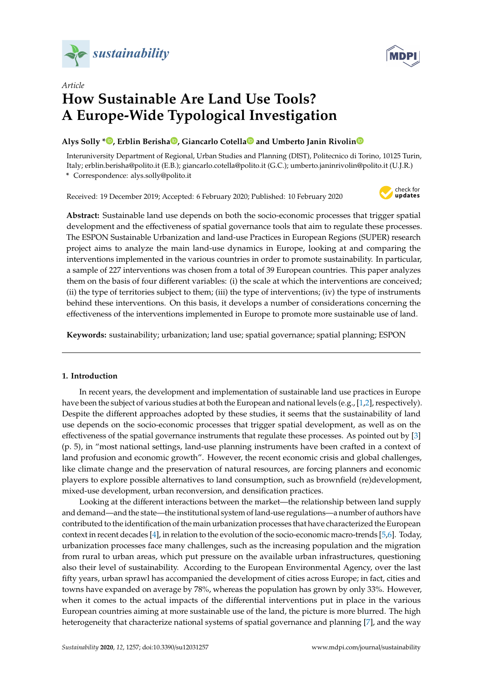



# *Article* **How Sustainable Are Land Use Tools? A Europe-Wide Typological Investigation**

## **Alys Solly [\\*](https://orcid.org/0000-0002-6634-3976) , Erblin Berish[a](https://orcid.org/0000-0002-1378-4487) , Giancarlo Cotell[a](https://orcid.org/0000-0001-8445-412X) and Umberto Janin Rivoli[n](https://orcid.org/0000-0003-4467-0981)**

Interuniversity Department of Regional, Urban Studies and Planning (DIST), Politecnico di Torino, 10125 Turin, Italy; erblin.berisha@polito.it (E.B.); giancarlo.cotella@polito.it (G.C.); umberto.janinrivolin@polito.it (U.J.R.)

**\*** Correspondence: alys.solly@polito.it

Received: 19 December 2019; Accepted: 6 February 2020; Published: 10 February 2020



**Abstract:** Sustainable land use depends on both the socio-economic processes that trigger spatial development and the effectiveness of spatial governance tools that aim to regulate these processes. The ESPON Sustainable Urbanization and land-use Practices in European Regions (SUPER) research project aims to analyze the main land-use dynamics in Europe, looking at and comparing the interventions implemented in the various countries in order to promote sustainability. In particular, a sample of 227 interventions was chosen from a total of 39 European countries. This paper analyzes them on the basis of four different variables: (i) the scale at which the interventions are conceived; (ii) the type of territories subject to them; (iii) the type of interventions; (iv) the type of instruments behind these interventions. On this basis, it develops a number of considerations concerning the effectiveness of the interventions implemented in Europe to promote more sustainable use of land.

**Keywords:** sustainability; urbanization; land use; spatial governance; spatial planning; ESPON

### **1. Introduction**

In recent years, the development and implementation of sustainable land use practices in Europe have been the subject of various studies at both the European and national levels (e.g., [1,2], respectively). Despite the different approaches adopted by these studies, it seems that the sustainability of land use depends on the socio-economic processes that trigger spatial development, as well as on the effectiveness of the spatial governance instruments that regulate these processes. As pointed out by [3] (p. 5), in "most national settings, land-use planning instruments have been crafted in a context of land profusion and economic growth". However, the recent economic crisis and global challenges, like climate change and the preservation of natural resources, are forcing planners and economic players to explore possible alternatives to land consumption, such as brownfield (re)development, mixed-use development, urban reconversion, and densification practices.

Looking at the different interactions between the market—the relationship between land supply and demand—and the state—the institutional system of land-use regulations—a number of authors have contributed to the identification of the main urbanization processes that have characterized the European context in recent decades [4], in relation to the evolution of the socio-economic macro-trends [5,6]. Today, urbanization processes face many challenges, such as the increasing population and the migration from rural to urban areas, which put pressure on the available urban infrastructures, questioning also their level of sustainability. According to the European Environmental Agency, over the last fifty years, urban sprawl has accompanied the development of cities across Europe; in fact, cities and towns have expanded on average by 78%, whereas the population has grown by only 33%. However, when it comes to the actual impacts of the differential interventions put in place in the various European countries aiming at more sustainable use of the land, the picture is more blurred. The high heterogeneity that characterize national systems of spatial governance and planning [7], and the way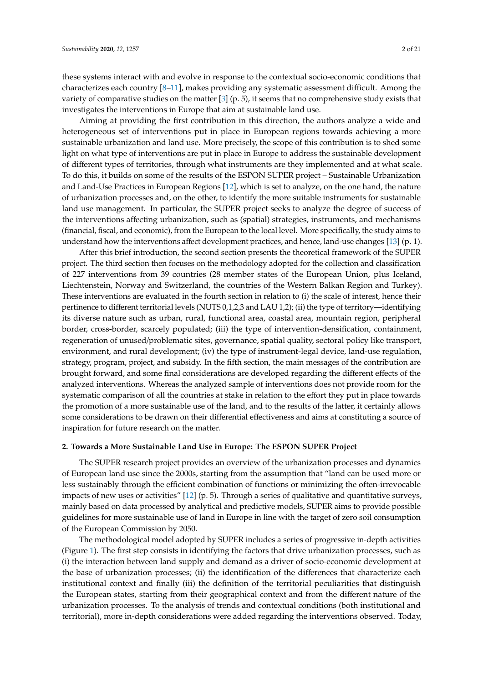these systems interact with and evolve in response to the contextual socio-economic conditions that characterizes each country  $[8-11]$ , makes providing any systematic assessment difficult. Among the variety of comparative studies on the matter  $[3]$  (p. 5), it seems that no comprehensive study exists that investigates the interventions in Europe that aim at sustainable land use.

Aiming at providing the first contribution in this direction, the authors analyze a wide and heterogeneous set of interventions put in place in European regions towards achieving a more sustainable urbanization and land use. More precisely, the scope of this contribution is to shed some light on what type of interventions are put in place in Europe to address the sustainable development of different types of territories, through what instruments are they implemented and at what scale. To do this, it builds on some of the results of the ESPON SUPER project – Sustainable Urbanization and Land-Use Practices in European Regions [12], which is set to analyze, on the one hand, the nature of urbanization processes and, on the other, to identify the more suitable instruments for sustainable land use management. In particular, the SUPER project seeks to analyze the degree of success of the interventions affecting urbanization, such as (spatial) strategies, instruments, and mechanisms (financial, fiscal, and economic), from the European to the local level. More specifically, the study aims to understand how the interventions affect development practices, and hence, land-use changes [13] (p. 1).

After this brief introduction, the second section presents the theoretical framework of the SUPER project. The third section then focuses on the methodology adopted for the collection and classification of 227 interventions from 39 countries (28 member states of the European Union, plus Iceland, Liechtenstein, Norway and Switzerland, the countries of the Western Balkan Region and Turkey). These interventions are evaluated in the fourth section in relation to (i) the scale of interest, hence their pertinence to different territorial levels (NUTS 0,1,2,3 and LAU 1,2); (ii) the type of territory—identifying its diverse nature such as urban, rural, functional area, coastal area, mountain region, peripheral border, cross-border, scarcely populated; (iii) the type of intervention-densification, containment, regeneration of unused/problematic sites, governance, spatial quality, sectoral policy like transport, environment, and rural development; (iv) the type of instrument-legal device, land-use regulation, strategy, program, project, and subsidy. In the fifth section, the main messages of the contribution are brought forward, and some final considerations are developed regarding the different effects of the analyzed interventions. Whereas the analyzed sample of interventions does not provide room for the systematic comparison of all the countries at stake in relation to the effort they put in place towards the promotion of a more sustainable use of the land, and to the results of the latter, it certainly allows some considerations to be drawn on their differential effectiveness and aims at constituting a source of inspiration for future research on the matter.

#### **2. Towards a More Sustainable Land Use in Europe: The ESPON SUPER Project**

The SUPER research project provides an overview of the urbanization processes and dynamics of European land use since the 2000s, starting from the assumption that "land can be used more or less sustainably through the efficient combination of functions or minimizing the often-irrevocable impacts of new uses or activities" [12] (p. 5). Through a series of qualitative and quantitative surveys, mainly based on data processed by analytical and predictive models, SUPER aims to provide possible guidelines for more sustainable use of land in Europe in line with the target of zero soil consumption of the European Commission by 2050.

The methodological model adopted by SUPER includes a series of progressive in-depth activities (Figure 1). The first step consists in identifying the factors that drive urbanization processes, such as (i) the interaction between land supply and demand as a driver of socio-economic development at the base of urbanization processes; (ii) the identification of the differences that characterize each institutional context and finally (iii) the definition of the territorial peculiarities that distinguish the European states, starting from their geographical context and from the different nature of the urbanization processes. To the analysis of trends and contextual conditions (both institutional and territorial), more in-depth considerations were added regarding the interventions observed. Today,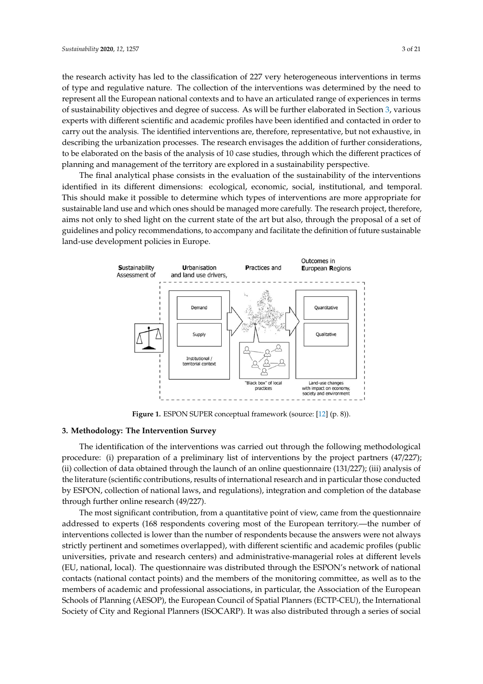the research activity has led to the classification of 227 very heterogeneous interventions in terms of type and regulative nature. The collection of the interventions was determined by the need to represent all the European national contexts and to have an articulated range of experiences in terms of sustainability objectives and degree of success. As will be further elaborated in Section 3, various experts with different scientific and academic profiles have been identified and contacted in order to carry out the analysis. The identified interventions are, therefore, representative, but not exhaustive, in describing the urbanization processes. The research envisages the addition of further considerations, to be elaborated on the basis of the analysis of 10 case studies, through which the different practices of planning and management of the territory are explored in a sustainability perspective.

The final analytical phase consists in the evaluation of the sustainability of the interventions The final analytical phase consists in the evaluation of the sustainability of the interventions identified in its different dimensions: ecological, economic, social, institutional, and temporal. This should make it possible to determine which types of interventions are more appropriate for should make it possible to determine which types of interventions are more appropriate for sustainable land use and which ones should be managed more carefully. The research project, therefore, sustainable land use and which ones should be managed more carefully. The research project, aims not only to shed light on the current state of the art but also, through the proposal of a set of guidelines and policy recommendations, to accompany and facilitate the definition of future sustainable land-use development policies in Europe.



**Figure 1.** ESPON SUPER conceptual framework (source: [12] (p. 8)). **Figure 1.** ESPON SUPER conceptual framework (source: [12] (p. 8)).

### **3. Methodology: The Intervention Survey 3. Methodology: The Intervention Survey**

The identification of the interventions was carried out through the following methodological The identification of the interventions was carried out through the following methodological procedure: (i) preparation of a preliminary list of interventions by the project partners (47/227); collection of data obtained through the launch of an online questionnaire (131/227); (iii) analysis of (ii) collection of data obtained through the launch of an online questionnaire (131/227); (iii) analysis of the literature (scientific contributions, results of international research and in particular those the literature (scientific contributions, results of international research and in particular those conducted by ESPON, collection of national laws, and regulations), integration and completion of the database through further online research (49/227).

The most significant contribution, from a quantitative point of view, came from the The most significant contribution, from a quantitative point of view, came from the questionnaire addressed to experts (168 respondents covering most of the European territory.—the number of interventions collected is lower than the number of respondents because the answers were not always strictly pertinent and sometimes overlapped), with different scientific and academic profiles (public universities, private and research centers) and administrative-managerial roles at different levels (EU, national, local). The questionnaire was distributed through the ESPON's network of national contacts (national contact points) and the members of the monitoring committee, as well as to the members of academic and professional associations, in particular, the Association of the European Schools of Planning (AESOP), the European Council of Spatial Planners (ECTP-CEU), the International Society of City and Regional Planners (ISOCARP). It was also distributed through a series of social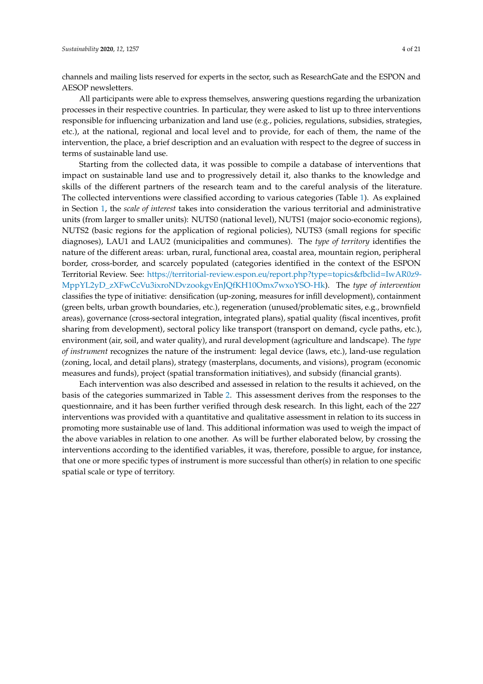channels and mailing lists reserved for experts in the sector, such as ResearchGate and the ESPON and AESOP newsletters.

All participants were able to express themselves, answering questions regarding the urbanization processes in their respective countries. In particular, they were asked to list up to three interventions responsible for influencing urbanization and land use (e.g., policies, regulations, subsidies, strategies, etc.), at the national, regional and local level and to provide, for each of them, the name of the intervention, the place, a brief description and an evaluation with respect to the degree of success in terms of sustainable land use.

Starting from the collected data, it was possible to compile a database of interventions that impact on sustainable land use and to progressively detail it, also thanks to the knowledge and skills of the different partners of the research team and to the careful analysis of the literature. The collected interventions were classified according to various categories (Table 1). As explained in Section 1, the *scale of interest* takes into consideration the various territorial and administrative units (from larger to smaller units): NUTS0 (national level), NUTS1 (major socio-economic regions), NUTS2 (basic regions for the application of regional policies), NUTS3 (small regions for specific diagnoses), LAU1 and LAU2 (municipalities and communes). The *type of territory* identifies the nature of the different areas: urban, rural, functional area, coastal area, mountain region, peripheral border, cross-border, and scarcely populated (categories identified in the context of the ESPON Territorial Review. See: https://[territorial-review.espon.eu](https://territorial-review.espon.eu/report.php?type=topics&fbclid=IwAR0z9-MppYL2yD_zXFwCcVu3ixroNDvzookgvEnJQfKH10Omx7wxoYSO-Hk)/report.php?type=topics&fbclid=IwAR0z9- [MppYL2yD\\_zXFwCcVu3ixroNDvzookgvEnJQfKH10Omx7wxoYSO-Hk\)](https://territorial-review.espon.eu/report.php?type=topics&fbclid=IwAR0z9-MppYL2yD_zXFwCcVu3ixroNDvzookgvEnJQfKH10Omx7wxoYSO-Hk). The *type of intervention* classifies the type of initiative: densification (up-zoning, measures for infill development), containment (green belts, urban growth boundaries, etc.), regeneration (unused/problematic sites, e.g., brownfield areas), governance (cross-sectoral integration, integrated plans), spatial quality (fiscal incentives, profit sharing from development), sectoral policy like transport (transport on demand, cycle paths, etc.), environment (air, soil, and water quality), and rural development (agriculture and landscape). The *type of instrument* recognizes the nature of the instrument: legal device (laws, etc.), land-use regulation (zoning, local, and detail plans), strategy (masterplans, documents, and visions), program (economic measures and funds), project (spatial transformation initiatives), and subsidy (financial grants).

Each intervention was also described and assessed in relation to the results it achieved, on the basis of the categories summarized in Table 2. This assessment derives from the responses to the questionnaire, and it has been further verified through desk research. In this light, each of the 227 interventions was provided with a quantitative and qualitative assessment in relation to its success in promoting more sustainable use of land. This additional information was used to weigh the impact of the above variables in relation to one another. As will be further elaborated below, by crossing the interventions according to the identified variables, it was, therefore, possible to argue, for instance, that one or more specific types of instrument is more successful than other(s) in relation to one specific spatial scale or type of territory.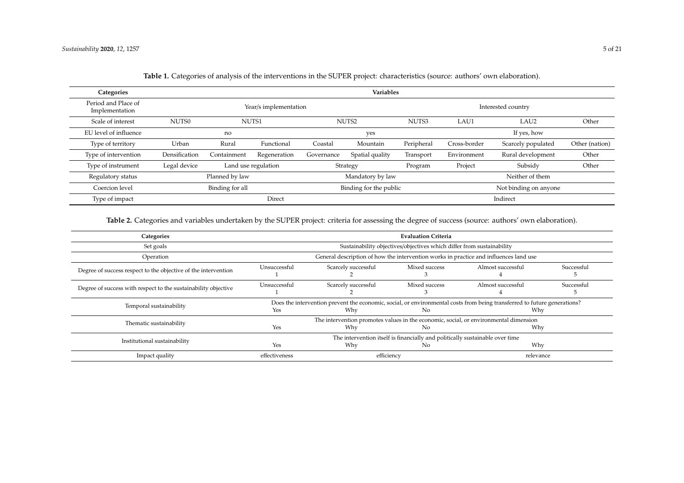| Categories                            |                    |                                                       |                       |            | <b>Variables</b>       |            |              |                       |                |  |  |
|---------------------------------------|--------------------|-------------------------------------------------------|-----------------------|------------|------------------------|------------|--------------|-----------------------|----------------|--|--|
| Period and Place of<br>Implementation |                    |                                                       | Year/s implementation |            |                        |            |              | Interested country    |                |  |  |
| Scale of interest                     | NUTS0              |                                                       | NUTS1                 |            | NUTS2                  | NUTS3      | LAU1         | LAU <sub>2</sub>      | Other          |  |  |
| EU level of influence                 |                    | no                                                    |                       |            | yes                    |            |              | If yes, how           |                |  |  |
| Type of territory                     | Urban              | Rural                                                 | Functional            | Coastal    | Mountain               | Peripheral | Cross-border | Scarcely populated    | Other (nation) |  |  |
| Type of intervention                  | Densification      | Containment                                           | Regeneration          | Governance | Spatial quality        | Transport  | Environment  | Rural development     | Other          |  |  |
| Type of instrument                    | Legal device       |                                                       | Land use regulation   |            | Strategy               | Program    | Project      | Subsidy               | Other          |  |  |
| Regulatory status                     |                    | Planned by law<br>Mandatory by law<br>Neither of them |                       |            |                        |            |              |                       |                |  |  |
| Coercion level                        |                    | Binding for all                                       |                       |            | Binding for the public |            |              | Not binding on anyone |                |  |  |
| Type of impact                        | Indirect<br>Direct |                                                       |                       |            |                        |            |              |                       |                |  |  |

**Table 1.** Categories of analysis of the interventions in the SUPER project: characteristics (source: authors' own elaboration).

**Table 2.** Categories and variables undertaken by the SUPER project: criteria for assessing the degree of success (source: authors' own elaboration).

| Categories                                                     |               |                     | <b>Evaluation Criteria</b>                                                         |                                                                                                                                 |            |
|----------------------------------------------------------------|---------------|---------------------|------------------------------------------------------------------------------------|---------------------------------------------------------------------------------------------------------------------------------|------------|
| Set goals                                                      |               |                     | Sustainability objectives/objectives which differ from sustainability              |                                                                                                                                 |            |
| Operation                                                      |               |                     |                                                                                    | General description of how the intervention works in practice and influences land use                                           |            |
| Degree of success respect to the objective of the intervention | Unsuccessful  | Scarcely successful | Mixed success                                                                      | Almost successful                                                                                                               | Successful |
| Degree of success with respect to the sustainability objective | Unsuccessful  | Scarcely successful | Mixed success                                                                      | Almost successful                                                                                                               | Successful |
| Temporal sustainability                                        | Yes           | Why                 | No                                                                                 | Does the intervention prevent the economic, social, or environmental costs from being transferred to future generations?<br>Why |            |
| Thematic sustainability                                        | Yes           | Why                 | No                                                                                 | The intervention promotes values in the economic, social, or environmental dimension<br>Why                                     |            |
| Institutional sustainability                                   | Yes           | Why                 | The intervention itself is financially and politically sustainable over time<br>No | Why                                                                                                                             |            |
| Impact quality                                                 | effectiveness | efficiency          |                                                                                    | relevance                                                                                                                       |            |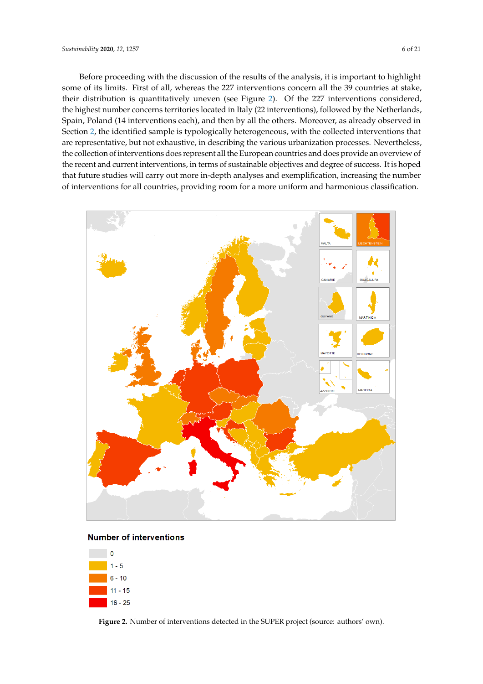Before proceeding with the discussion of the results of the analysis, it is important to highlight some of its limits. First of all, whereas the 227 interventions concern all the 39 countries at stake, their distribution is quantitatively uneven (see Figure 2). Of the 227 interventions considered, the highest number concerns territories located in Italy (22 interventions), followed by the Netherlands, Spain, Poland (14 interventions each), and then by all the others. Moreover, as already observed in Section 2, the identified sample is typologically heterogeneous, with the collected interventions that are representative, but not exhaustive, in describing the various urbanization processes. Nevertheless, the collection of interventions does represent all the European countries and does provide an overview of the recent and current interventions, in terms of sustainable objectives and degree of success. It is hoped that future studies will carry out more in-depth analyses and exemplification, increasing the number of interventions for all countries, providing room for a more uniform and harmonious classification. harmonious classification.



#### **Number of interventions**



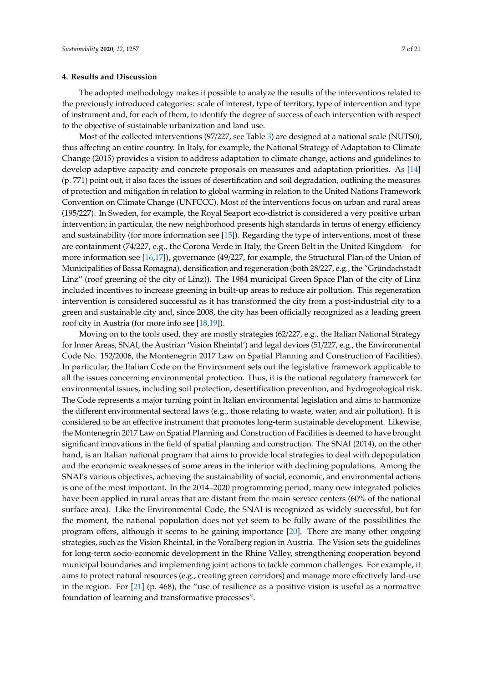#### **4. Results and Discussion**

The adopted methodology makes it possible to analyze the results of the interventions related to the previously introduced categories: scale of interest, type of territory, type of intervention and type of instrument and, for each of them, to identify the degree of success of each intervention with respect to the objective of sustainable urbanization and land use.

Most of the collected interventions (97/227, see Table 3) are designed at a national scale (NUTS0), thus affecting an entire country. In Italy, for example, the National Strategy of Adaptation to Climate Change (2015) provides a vision to address adaptation to climate change, actions and guidelines to develop adaptive capacity and concrete proposals on measures and adaptation priorities. As [14] (p. 771) point out, it also faces the issues of desertification and soil degradation, outlining the measures of protection and mitigation in relation to global warming in relation to the United Nations Framework Convention on Climate Change (UNFCCC). Most of the interventions focus on urban and rural areas (195/227). In Sweden, for example, the Royal Seaport eco-district is considered a very positive urban intervention; in particular, the new neighborhood presents high standards in terms of energy efficiency and sustainability (for more information see [15]). Regarding the type of interventions, most of these are containment (74/227, e.g., the Corona Verde in Italy, the Green Belt in the United Kingdom—for more information see [16,17]), governance (49/227, for example, the Structural Plan of the Union of Municipalities of Bassa Romagna), densification and regeneration (both 28/227, e.g., the "Gründachstadt Linz" (roof greening of the city of Linz)). The 1984 municipal Green Space Plan of the city of Linz included incentives to increase greening in built-up areas to reduce air pollution. This regeneration intervention is considered successful as it has transformed the city from a post-industrial city to a green and sustainable city and, since 2008, the city has been officially recognized as a leading green roof city in Austria (for more info see [18,19]).

Moving on to the tools used, they are mostly strategies (62/227, e.g., the Italian National Strategy for Inner Areas, SNAI, the Austrian 'Vision Rheintal') and legal devices (51/227, e.g., the Environmental Code No. 152/2006, the Montenegrin 2017 Law on Spatial Planning and Construction of Facilities). In particular, the Italian Code on the Environment sets out the legislative framework applicable to all the issues concerning environmental protection. Thus, it is the national regulatory framework for environmental issues, including soil protection, desertification prevention, and hydrogeological risk. The Code represents a major turning point in Italian environmental legislation and aims to harmonize the different environmental sectoral laws (e.g., those relating to waste, water, and air pollution). It is considered to be an effective instrument that promotes long-term sustainable development. Likewise, the Montenegrin 2017 Law on Spatial Planning and Construction of Facilities is deemed to have brought significant innovations in the field of spatial planning and construction. The SNAI (2014), on the other hand, is an Italian national program that aims to provide local strategies to deal with depopulation and the economic weaknesses of some areas in the interior with declining populations. Among the SNAI's various objectives, achieving the sustainability of social, economic, and environmental actions is one of the most important. In the 2014–2020 programming period, many new integrated policies have been applied in rural areas that are distant from the main service centers (60% of the national surface area). Like the Environmental Code, the SNAI is recognized as widely successful, but for the moment, the national population does not yet seem to be fully aware of the possibilities the program offers, although it seems to be gaining importance [20]. There are many other ongoing strategies, such as the Vision Rheintal, in the Voralberg region in Austria. The Vision sets the guidelines for long-term socio-economic development in the Rhine Valley, strengthening cooperation beyond municipal boundaries and implementing joint actions to tackle common challenges. For example, it aims to protect natural resources (e.g., creating green corridors) and manage more effectively land-use in the region. For [21] (p. 468), the "use of resilience as a positive vision is useful as a normative foundation of learning and transformative processes".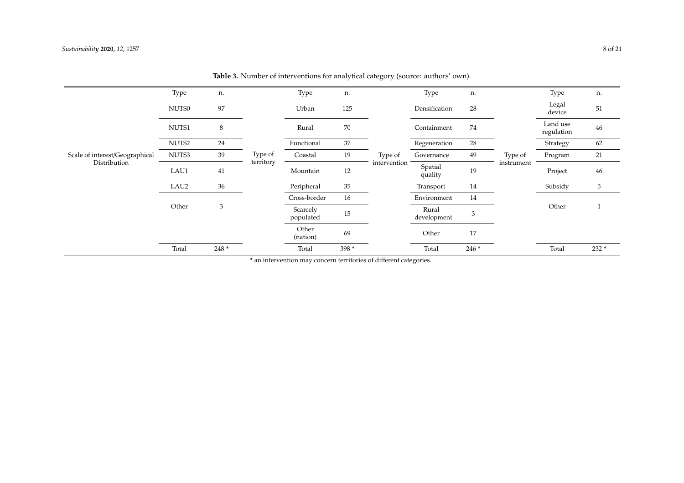|                                | Type  | n.    |           | Type                  | n.    |              | Type                 | n.    |            | Type                   | n.    |
|--------------------------------|-------|-------|-----------|-----------------------|-------|--------------|----------------------|-------|------------|------------------------|-------|
|                                | NUTS0 | 97    |           | Urban                 | 125   |              | Densification        | 28    |            | Legal<br>device        | 51    |
|                                | NUTS1 | 8     |           | Rural                 | 70    |              | Containment          | 74    |            | Land use<br>regulation | 46    |
|                                | NUTS2 | 24    |           | Functional            | 37    |              | Regeneration         | 28    |            | Strategy               | 62    |
| Scale of interest/Geographical | NUTS3 | 39    | Type of   | Coastal               | 19    | Type of      | Governance           | 49    | Type of    | Program                | 21    |
| Distribution                   | LAU1  | 41    | territory | Mountain              | 12    | intervention | Spatial<br>quality   | 19    | instrument | Project                | 46    |
|                                | LAU2  | 36    |           | Peripheral            | 35    |              | Transport            | 14    |            | Subsidy                | 5     |
|                                |       |       |           | Cross-border          | 16    |              | Environment          | 14    |            |                        |       |
|                                | Other | 3     |           | Scarcely<br>populated | 15    |              | Rural<br>development | 3     |            | Other                  |       |
|                                |       |       |           | Other<br>(nation)     | 69    |              | Other                | 17    |            |                        |       |
|                                | Total | 248 * |           | Total                 | 398 * |              | Total                | 246 * |            | Total                  | 232 * |

Table 3. Number of interventions for analytical category (source: authors' own).

\* an intervention may concern territories of different categories.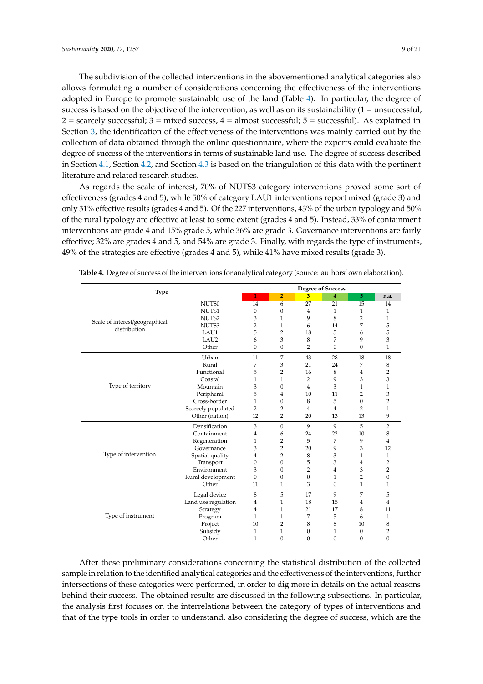The subdivision of the collected interventions in the abovementioned analytical categories also allows formulating a number of considerations concerning the effectiveness of the interventions adopted in Europe to promote sustainable use of the land (Table 4). In particular, the degree of success is based on the objective of the intervention, as well as on its sustainability  $(1 =$  unsuccessful;  $2 =$  scarcely successful;  $3 =$  mixed success,  $4 =$  almost successful;  $5 =$  successful). As explained in Section 3, the identification of the effectiveness of the interventions was mainly carried out by the collection of data obtained through the online questionnaire, where the experts could evaluate the degree of success of the interventions in terms of sustainable land use. The degree of success described in Section 4.1, Section 4.2, and Section 4.3 is based on the triangulation of this data with the pertinent literature and related research studies.

As regards the scale of interest, 70% of NUTS3 category interventions proved some sort of effectiveness (grades 4 and 5), while 50% of category LAU1 interventions report mixed (grade 3) and only 31% effective results (grades 4 and 5). Of the 227 interventions, 43% of the urban typology and 50% of the rural typology are effective at least to some extent (grades 4 and 5). Instead, 33% of containment interventions are grade 4 and 15% grade 5, while 36% are grade 3. Governance interventions are fairly effective; 32% are grades 4 and 5, and 54% are grade 3. Finally, with regards the type of instruments, 49% of the strategies are effective (grades 4 and 5), while 41% have mixed results (grade 3).

| Type                                           |                     |              |                |                  | <b>Degree of Success</b> |                 |                |
|------------------------------------------------|---------------------|--------------|----------------|------------------|--------------------------|-----------------|----------------|
|                                                |                     | $\mathbf{1}$ | $\overline{2}$ | 3                | 4                        | 5 <sup>5</sup>  | n.a.           |
|                                                | NUTS <sub>0</sub>   | 14           | 6              | 27               | $\overline{21}$          | $\overline{15}$ | 14             |
|                                                | NUTS1               | $\Omega$     | $\mathbf{0}$   | 4                | 1                        | 1               | 1              |
|                                                | NUTS2               | 3            | $\mathbf{1}$   | 9                | 8                        | $\overline{2}$  | $\mathbf{1}$   |
| Scale of interest/geographical<br>distribution | NUTS3               | 2            | $\mathbf{1}$   | 6                | 14                       | 7               | 5              |
|                                                | LAU1                | 5            | $\overline{2}$ | 18               | 5                        | 6               | 5              |
|                                                | LAU <sub>2</sub>    | 6            | 3              | 8                | 7                        | 9               | 3              |
|                                                | Other               | $\Omega$     | $\mathbf{0}$   | $\overline{2}$   | $\theta$                 | $\Omega$        | $\mathbf{1}$   |
|                                                | Urban               | 11           | $\overline{7}$ | 43               | 28                       | 18              | 18             |
|                                                | Rural               | 7            | 3              | 21               | 24                       | 7               | 8              |
|                                                | Functional          | 5            | $\overline{2}$ | 16               | 8                        | 4               | $\overline{2}$ |
|                                                | Coastal             | 1            | $\mathbf{1}$   | $\overline{2}$   | 9                        | 3               | 3              |
| Type of territory                              | Mountain            | 3            | $\Omega$       | 4                | 3                        | 1               | $\mathbf{1}$   |
|                                                | Peripheral          | 5            | 4              | 10               | 11                       | $\overline{2}$  | 3              |
|                                                | Cross-border        | 1            | $\Omega$       | 8                | 5                        | $\Omega$        | $\overline{2}$ |
|                                                | Scarcely populated  | 2            | 2              | 4                | 4                        | $\overline{2}$  | 1              |
|                                                | Other (nation)      | 12           | $\overline{2}$ | 20               | 13                       | 13              | 9              |
|                                                | Densification       | 3            | $\Omega$       | 9                | 9                        | 5               | $\overline{2}$ |
|                                                | Containment         | 4            | 6              | 24               | 22                       | 10              | 8              |
|                                                | Regeneration        | 1            | $\overline{2}$ | 5                | 7                        | 9               | $\overline{4}$ |
|                                                | Governance          | 3            | $\overline{2}$ | 20               | 9                        | 3               | 12             |
| Type of intervention                           | Spatial quality     | 4            | $\overline{2}$ | 8                | 3                        | 1               | $\mathbf{1}$   |
|                                                | Transport           | 0            | $\mathbf{0}$   | 5                | 3                        | 4               | $\overline{2}$ |
|                                                | Environment         | 3            | $\Omega$       | $\overline{2}$   | $\overline{4}$           | 3               | $\overline{2}$ |
|                                                | Rural development   | $\Omega$     | $\Omega$       | $\boldsymbol{0}$ | 1                        | $\overline{2}$  | $\mathbf{0}$   |
|                                                | Other               | 11           | 1              | 3                | $\Omega$                 | 1               | 1              |
|                                                | Legal device        | 8            | 5              | 17               | 9                        | 7               | 5              |
|                                                | Land use regulation | 4            | $\mathbf{1}$   | 18               | 15                       | $\overline{4}$  | $\overline{4}$ |
|                                                | Strategy            | 4            | 1              | 21               | 17                       | 8               | 11             |
| Type of instrument                             | Program             | 1            | $\mathbf{1}$   | 7                | 5                        | 6               | 1              |
|                                                | Project             | 10           | $\overline{2}$ | 8                | 8                        | 10              | 8              |
|                                                | Subsidy             | 1            | $\mathbf{1}$   | $\boldsymbol{0}$ | 1                        | $\mathbf{0}$    | $\overline{2}$ |
|                                                | Other               | 1            | $\mathbf{0}$   | 0                | $\mathbf{0}$             | $\overline{0}$  | $\mathbf{0}$   |

**Table 4.** Degree of success of the interventions for analytical category (source: authors' own elaboration).

After these preliminary considerations concerning the statistical distribution of the collected sample in relation to the identified analytical categories and the effectiveness of the interventions, further intersections of these categories were performed, in order to dig more in details on the actual reasons behind their success. The obtained results are discussed in the following subsections. In particular, the analysis first focuses on the interrelations between the category of types of interventions and that of the type tools in order to understand, also considering the degree of success, which are the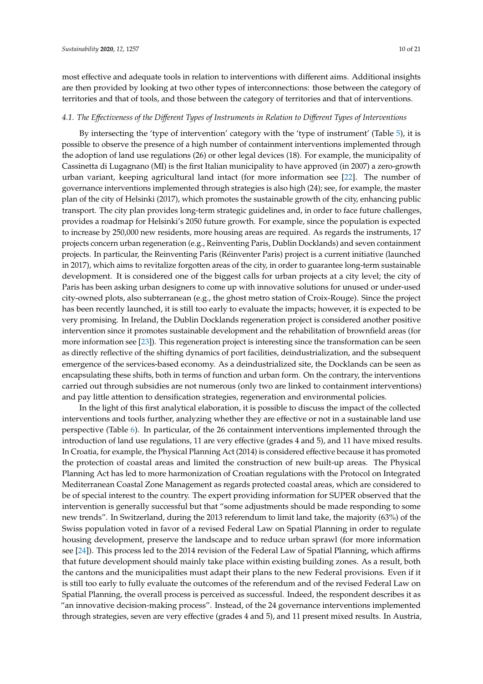most effective and adequate tools in relation to interventions with different aims. Additional insights are then provided by looking at two other types of interconnections: those between the category of territories and that of tools, and those between the category of territories and that of interventions.

#### *4.1. The E*ff*ectiveness of the Di*ff*erent Types of Instruments in Relation to Di*ff*erent Types of Interventions*

By intersecting the 'type of intervention' category with the 'type of instrument' (Table 5), it is possible to observe the presence of a high number of containment interventions implemented through the adoption of land use regulations (26) or other legal devices (18). For example, the municipality of Cassinetta di Lugagnano (MI) is the first Italian municipality to have approved (in 2007) a zero-growth urban variant, keeping agricultural land intact (for more information see [22]. The number of governance interventions implemented through strategies is also high (24); see, for example, the master plan of the city of Helsinki (2017), which promotes the sustainable growth of the city, enhancing public transport. The city plan provides long-term strategic guidelines and, in order to face future challenges, provides a roadmap for Helsinki's 2050 future growth. For example, since the population is expected to increase by 250,000 new residents, more housing areas are required. As regards the instruments, 17 projects concern urban regeneration (e.g., Reinventing Paris, Dublin Docklands) and seven containment projects. In particular, the Reinventing Paris (Réinventer Paris) project is a current initiative (launched in 2017), which aims to revitalize forgotten areas of the city, in order to guarantee long-term sustainable development. It is considered one of the biggest calls for urban projects at a city level; the city of Paris has been asking urban designers to come up with innovative solutions for unused or under-used city-owned plots, also subterranean (e.g., the ghost metro station of Croix-Rouge). Since the project has been recently launched, it is still too early to evaluate the impacts; however, it is expected to be very promising. In Ireland, the Dublin Docklands regeneration project is considered another positive intervention since it promotes sustainable development and the rehabilitation of brownfield areas (for more information see [23]). This regeneration project is interesting since the transformation can be seen as directly reflective of the shifting dynamics of port facilities, deindustrialization, and the subsequent emergence of the services-based economy. As a deindustrialized site, the Docklands can be seen as encapsulating these shifts, both in terms of function and urban form. On the contrary, the interventions carried out through subsidies are not numerous (only two are linked to containment interventions) and pay little attention to densification strategies, regeneration and environmental policies.

In the light of this first analytical elaboration, it is possible to discuss the impact of the collected interventions and tools further, analyzing whether they are effective or not in a sustainable land use perspective (Table 6). In particular, of the 26 containment interventions implemented through the introduction of land use regulations, 11 are very effective (grades 4 and 5), and 11 have mixed results. In Croatia, for example, the Physical Planning Act (2014) is considered effective because it has promoted the protection of coastal areas and limited the construction of new built-up areas. The Physical Planning Act has led to more harmonization of Croatian regulations with the Protocol on Integrated Mediterranean Coastal Zone Management as regards protected coastal areas, which are considered to be of special interest to the country. The expert providing information for SUPER observed that the intervention is generally successful but that "some adjustments should be made responding to some new trends". In Switzerland, during the 2013 referendum to limit land take, the majority (63%) of the Swiss population voted in favor of a revised Federal Law on Spatial Planning in order to regulate housing development, preserve the landscape and to reduce urban sprawl (for more information see [24]). This process led to the 2014 revision of the Federal Law of Spatial Planning, which affirms that future development should mainly take place within existing building zones. As a result, both the cantons and the municipalities must adapt their plans to the new Federal provisions. Even if it is still too early to fully evaluate the outcomes of the referendum and of the revised Federal Law on Spatial Planning, the overall process is perceived as successful. Indeed, the respondent describes it as "an innovative decision-making process". Instead, of the 24 governance interventions implemented through strategies, seven are very effective (grades 4 and 5), and 11 present mixed results. In Austria,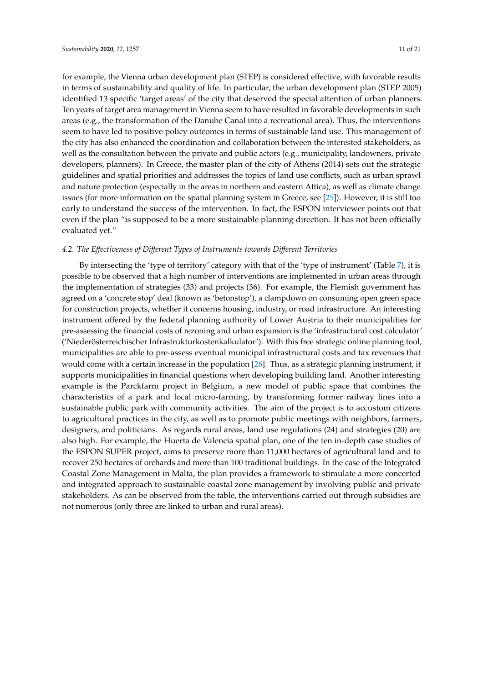for example, the Vienna urban development plan (STEP) is considered effective, with favorable results in terms of sustainability and quality of life. In particular, the urban development plan (STEP 2005) identified 13 specific 'target areas' of the city that deserved the special attention of urban planners. Ten years of target area management in Vienna seem to have resulted in favorable developments in such areas (e.g., the transformation of the Danube Canal into a recreational area). Thus, the interventions seem to have led to positive policy outcomes in terms of sustainable land use. This management of the city has also enhanced the coordination and collaboration between the interested stakeholders, as well as the consultation between the private and public actors (e.g., municipality, landowners, private developers, planners). In Greece, the master plan of the city of Athens (2014) sets out the strategic guidelines and spatial priorities and addresses the topics of land use conflicts, such as urban sprawl and nature protection (especially in the areas in northern and eastern Attica), as well as climate change issues (for more information on the spatial planning system in Greece, see [25]). However, it is still too early to understand the success of the intervention. In fact, the ESPON interviewer points out that even if the plan "is supposed to be a more sustainable planning direction. It has not been officially evaluated yet."

#### *4.2. The E*ff*ectiveness of Di*ff*erent Types of Instruments towards Di*ff*erent Territories*

By intersecting the 'type of territory' category with that of the 'type of instrument' (Table 7), it is possible to be observed that a high number of interventions are implemented in urban areas through the implementation of strategies (33) and projects (36). For example, the Flemish government has agreed on a 'concrete stop' deal (known as 'betonstop'), a clampdown on consuming open green space for construction projects, whether it concerns housing, industry, or road infrastructure. An interesting instrument offered by the federal planning authority of Lower Austria to their municipalities for pre-assessing the financial costs of rezoning and urban expansion is the 'infrastructural cost calculator' ('Niederösterreichischer Infrastrukturkostenkalkulator'). With this free strategic online planning tool, municipalities are able to pre-assess eventual municipal infrastructural costs and tax revenues that would come with a certain increase in the population [26]. Thus, as a strategic planning instrument, it supports municipalities in financial questions when developing building land. Another interesting example is the Parckfarm project in Belgium, a new model of public space that combines the characteristics of a park and local micro-farming, by transforming former railway lines into a sustainable public park with community activities. The aim of the project is to accustom citizens to agricultural practices in the city, as well as to promote public meetings with neighbors, farmers, designers, and politicians. As regards rural areas, land use regulations (24) and strategies (20) are also high. For example, the Huerta de Valencia spatial plan, one of the ten in-depth case studies of the ESPON SUPER project, aims to preserve more than 11,000 hectares of agricultural land and to recover 250 hectares of orchards and more than 100 traditional buildings. In the case of the Integrated Coastal Zone Management in Malta, the plan provides a framework to stimulate a more concerted and integrated approach to sustainable coastal zone management by involving public and private stakeholders. As can be observed from the table, the interventions carried out through subsidies are not numerous (only three are linked to urban and rural areas).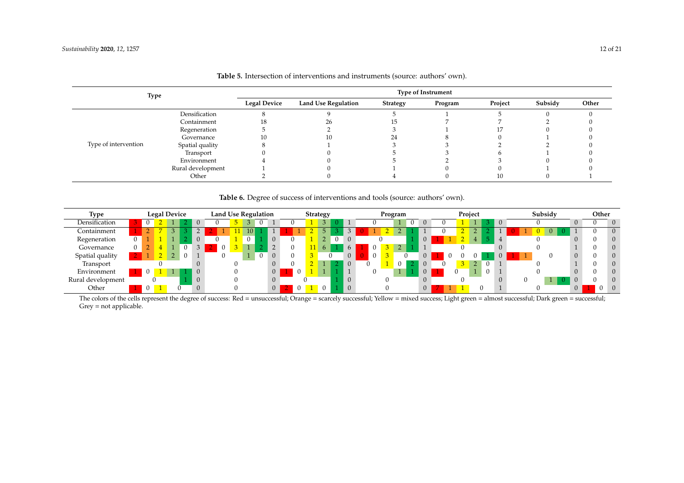| Type                 |                   |                     |                            |                 | <b>Type of Instrument</b> |         |         |       |
|----------------------|-------------------|---------------------|----------------------------|-----------------|---------------------------|---------|---------|-------|
|                      |                   | <b>Legal Device</b> | <b>Land Use Regulation</b> | <b>Strategy</b> | Program                   | Project | Subsidy | Other |
|                      | Densification     |                     |                            |                 |                           |         |         |       |
|                      | Containment       |                     | 26.                        |                 |                           |         |         |       |
|                      | Regeneration      |                     |                            |                 |                           |         |         |       |
|                      | Governance        | 10                  | 10                         |                 |                           |         |         |       |
| Type of intervention | Spatial quality   |                     |                            |                 |                           |         |         |       |
|                      | Transport         |                     |                            |                 |                           |         |         |       |
|                      | Environment       |                     |                            |                 |                           |         |         |       |
|                      | Rural development |                     |                            |                 |                           |         |         |       |
|                      | Other             |                     |                            |                 |                           | 10      |         |       |

Table 5. Intersection of interventions and instruments (source: authors' own).

Table 6. Degree of success of interventions and tools (source: authors' own).

| <b>Type</b>       |   | <b>Legal Device</b> |                  |                | <b>Land Use Regulation</b> |    |    |                |                | Strategy |                |                |  | Program |   |              |  | Project |                |          |  | Subsidy |   | Other |          |
|-------------------|---|---------------------|------------------|----------------|----------------------------|----|----|----------------|----------------|----------|----------------|----------------|--|---------|---|--------------|--|---------|----------------|----------|--|---------|---|-------|----------|
| Densification     |   |                     |                  |                |                            |    |    |                |                |          | 3              |                |  |         | 0 | $\theta$     |  |         |                |          |  |         |   |       | $\theta$ |
| Containment       |   |                     |                  |                |                            | 10 |    |                |                |          | 5 <sup>1</sup> |                |  |         |   |              |  |         | $\overline{ }$ |          |  |         |   |       | $\theta$ |
| Regeneration      |   |                     |                  |                |                            | U  |    | $\theta$       |                |          |                | $\Omega$       |  |         |   |              |  |         |                |          |  |         |   |       | $\Omega$ |
| Governance        | 0 |                     | $\left( \right)$ |                |                            |    |    |                |                |          | 6              | 6              |  |         |   |              |  |         |                |          |  |         |   |       | $\Omega$ |
| Spatial quality   |   |                     |                  |                |                            |    | -0 |                |                |          |                | $\overline{0}$ |  |         |   | $\cup$       |  |         |                |          |  |         |   |       | $\Omega$ |
| Transport         |   |                     |                  | $\theta$       |                            |    |    | $\overline{0}$ |                |          |                | $\Omega$       |  |         |   |              |  |         |                |          |  |         |   |       | $\Omega$ |
| Environment       |   |                     |                  |                |                            |    |    | $\overline{0}$ |                |          |                |                |  |         |   |              |  |         |                | $\Omega$ |  |         |   |       | $\Omega$ |
| Rural development |   |                     |                  | $\overline{0}$ |                            |    |    |                |                |          |                | $\mathbf{0}$   |  |         |   |              |  |         |                |          |  |         |   |       | $\Omega$ |
| Other             |   |                     |                  | $\theta$       |                            |    |    | 0 <sup>1</sup> | $\overline{0}$ |          | $\theta$       | $\Omega$       |  |         |   | $\mathbf{0}$ |  |         |                |          |  |         | 0 |       |          |

The colors of the cells represent the degree of success: Red = unsuccessful; Orange = scarcely successful; Yellow = mixed success; Light green = almost successful; Dark green = successful; Grey = not applicable.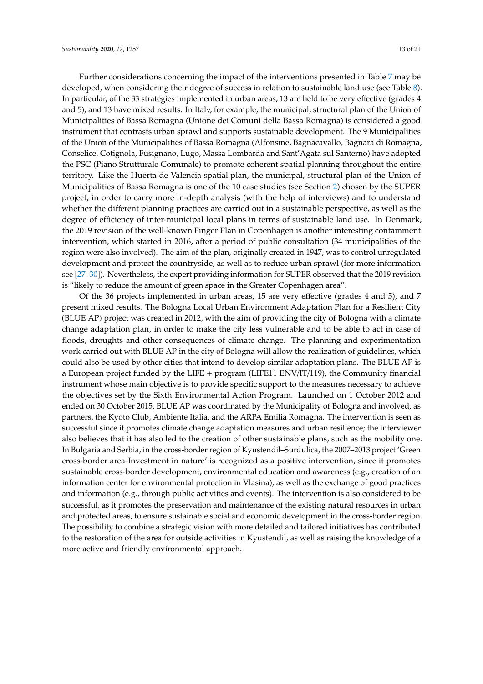Further considerations concerning the impact of the interventions presented in Table 7 may be developed, when considering their degree of success in relation to sustainable land use (see Table 8). In particular, of the 33 strategies implemented in urban areas, 13 are held to be very effective (grades 4 and 5), and 13 have mixed results. In Italy, for example, the municipal, structural plan of the Union of Municipalities of Bassa Romagna (Unione dei Comuni della Bassa Romagna) is considered a good instrument that contrasts urban sprawl and supports sustainable development. The 9 Municipalities of the Union of the Municipalities of Bassa Romagna (Alfonsine, Bagnacavallo, Bagnara di Romagna, Conselice, Cotignola, Fusignano, Lugo, Massa Lombarda and Sant'Agata sul Santerno) have adopted the PSC (Piano Strutturale Comunale) to promote coherent spatial planning throughout the entire territory. Like the Huerta de Valencia spatial plan, the municipal, structural plan of the Union of Municipalities of Bassa Romagna is one of the 10 case studies (see Section 2) chosen by the SUPER project, in order to carry more in-depth analysis (with the help of interviews) and to understand whether the different planning practices are carried out in a sustainable perspective, as well as the degree of efficiency of inter-municipal local plans in terms of sustainable land use. In Denmark, the 2019 revision of the well-known Finger Plan in Copenhagen is another interesting containment intervention, which started in 2016, after a period of public consultation (34 municipalities of the region were also involved). The aim of the plan, originally created in 1947, was to control unregulated development and protect the countryside, as well as to reduce urban sprawl (for more information see [27–30]). Nevertheless, the expert providing information for SUPER observed that the 2019 revision is "likely to reduce the amount of green space in the Greater Copenhagen area".

Of the 36 projects implemented in urban areas, 15 are very effective (grades 4 and 5), and 7 present mixed results. The Bologna Local Urban Environment Adaptation Plan for a Resilient City (BLUE AP) project was created in 2012, with the aim of providing the city of Bologna with a climate change adaptation plan, in order to make the city less vulnerable and to be able to act in case of floods, droughts and other consequences of climate change. The planning and experimentation work carried out with BLUE AP in the city of Bologna will allow the realization of guidelines, which could also be used by other cities that intend to develop similar adaptation plans. The BLUE AP is a European project funded by the LIFE + program (LIFE11 ENV/IT/119), the Community financial instrument whose main objective is to provide specific support to the measures necessary to achieve the objectives set by the Sixth Environmental Action Program. Launched on 1 October 2012 and ended on 30 October 2015, BLUE AP was coordinated by the Municipality of Bologna and involved, as partners, the Kyoto Club, Ambiente Italia, and the ARPA Emilia Romagna. The intervention is seen as successful since it promotes climate change adaptation measures and urban resilience; the interviewer also believes that it has also led to the creation of other sustainable plans, such as the mobility one. In Bulgaria and Serbia, in the cross-border region of Kyustendil–Surdulica, the 2007–2013 project 'Green cross-border area-Investment in nature' is recognized as a positive intervention, since it promotes sustainable cross-border development, environmental education and awareness (e.g., creation of an information center for environmental protection in Vlasina), as well as the exchange of good practices and information (e.g., through public activities and events). The intervention is also considered to be successful, as it promotes the preservation and maintenance of the existing natural resources in urban and protected areas, to ensure sustainable social and economic development in the cross-border region. The possibility to combine a strategic vision with more detailed and tailored initiatives has contributed to the restoration of the area for outside activities in Kyustendil, as well as raising the knowledge of a more active and friendly environmental approach.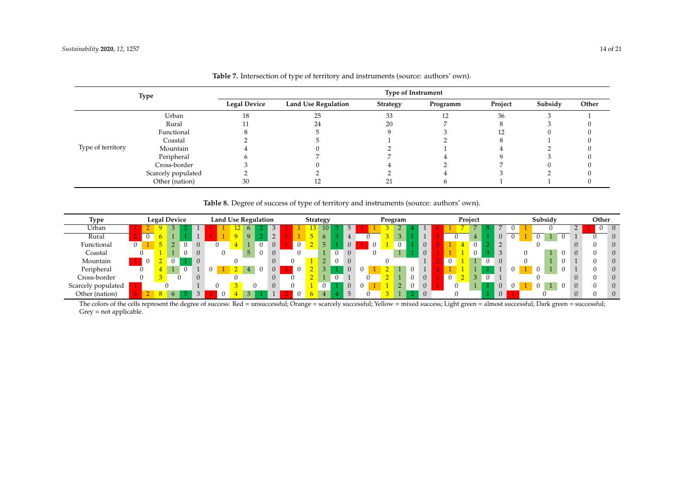|                   | <b>Type</b>        |                     |                            | <b>Type of Instrument</b> |          |         |         |       |
|-------------------|--------------------|---------------------|----------------------------|---------------------------|----------|---------|---------|-------|
|                   |                    | <b>Legal Device</b> | <b>Land Use Regulation</b> | <b>Strategy</b>           | Programm | Project | Subsidy | Other |
|                   | Urban              | 18                  |                            | 33                        | 10       | 36      |         |       |
|                   | Rural              |                     |                            | 20                        |          |         |         |       |
|                   | Functional         |                     |                            |                           |          |         |         |       |
|                   | Coastal            |                     |                            |                           |          |         |         |       |
| Type of territory | Mountain           |                     |                            |                           |          |         |         |       |
|                   | Peripheral         |                     |                            |                           |          |         |         |       |
|                   | Cross-border       |                     |                            |                           |          |         |         |       |
|                   | Scarcely populated |                     |                            |                           |          |         |         |       |
|                   | Other (nation)     | 30                  |                            |                           |          |         |         |       |

# **Table 8.** Degree of success of type of territory and instruments (source: authors' own).

| Type               |  | <b>Legal Device</b> |  |                | <b>Land Use Regulation</b> |    |                |  | Strategy |             |          |                |  | Program  |            |                |          | Project |          |          |   |   | Subsidy |                |          | Other    |
|--------------------|--|---------------------|--|----------------|----------------------------|----|----------------|--|----------|-------------|----------|----------------|--|----------|------------|----------------|----------|---------|----------|----------|---|---|---------|----------------|----------|----------|
| Urban              |  |                     |  |                |                            | 6. |                |  |          | 10          |          | 5              |  |          |            |                |          |         |          |          |   |   |         | $\overline{ }$ |          | $\theta$ |
| Rural              |  |                     |  |                |                            | Q  | $\overline{2}$ |  |          | 6           |          |                |  |          |            |                |          | 4       |          | $\theta$ | 0 | υ |         |                |          | $\theta$ |
| Functional         |  |                     |  |                |                            |    | $\overline{0}$ |  |          | 5.          |          | $\overline{0}$ |  | $\Omega$ |            | $\overline{0}$ |          |         |          |          |   |   |         |                |          | $\theta$ |
| Coastal            |  |                     |  |                |                            | 5  | $\Omega$       |  |          |             | $\Omega$ |                |  |          |            | $\Omega$       |          |         |          |          |   |   |         |                |          | $\theta$ |
| Mountain           |  |                     |  | $\overline{0}$ |                            |    | $\theta$       |  |          | $2^{\circ}$ |          |                |  |          |            |                | $\Omega$ |         | $\theta$ |          |   |   |         |                |          | $\theta$ |
| Peripheral         |  |                     |  |                |                            |    | $\overline{0}$ |  |          |             |          |                |  |          |            |                |          |         |          |          |   |   |         |                |          | $\theta$ |
| Cross-border       |  |                     |  | $\overline{0}$ |                            |    | $\Omega$       |  |          |             |          |                |  |          | $^{\circ}$ | $\overline{0}$ | $\Omega$ |         | 0        |          |   |   |         |                | $\Omega$ | $\theta$ |
| Scarcely populated |  |                     |  |                |                            |    |                |  |          |             |          |                |  |          | $\cup$     | $\overline{0}$ |          |         |          |          |   | U |         | 0              |          | $\theta$ |
| Other (nation)     |  |                     |  |                |                            |    |                |  |          |             |          |                |  |          |            |                |          |         |          |          |   |   |         |                | r        | $\theta$ |

The colors of the cells represent the degree of success: Red = unsuccessful; Orange = scarcely successful; Yellow = mixed success; Light green = almost successful; Dark green = successful; Grey = not applicable.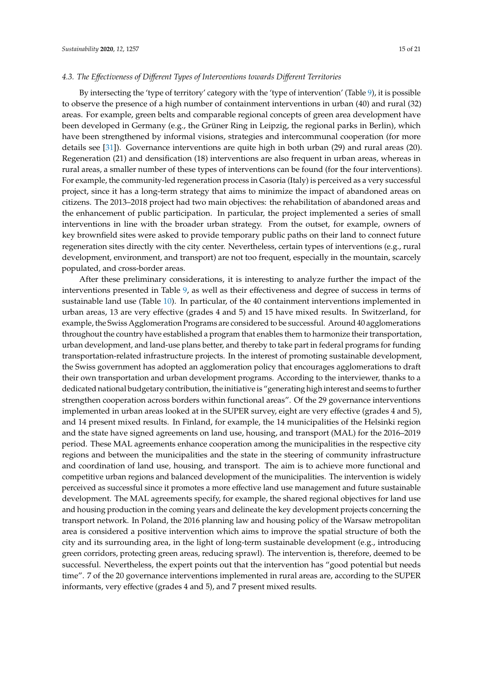#### *4.3. The E*ff*ectiveness of Di*ff*erent Types of Interventions towards Di*ff*erent Territories*

By intersecting the 'type of territory' category with the 'type of intervention' (Table 9), it is possible to observe the presence of a high number of containment interventions in urban (40) and rural (32) areas. For example, green belts and comparable regional concepts of green area development have been developed in Germany (e.g., the Grüner Ring in Leipzig, the regional parks in Berlin), which have been strengthened by informal visions, strategies and intercommunal cooperation (for more details see [31]). Governance interventions are quite high in both urban (29) and rural areas (20). Regeneration (21) and densification (18) interventions are also frequent in urban areas, whereas in rural areas, a smaller number of these types of interventions can be found (for the four interventions). For example, the community-led regeneration process in Casoria (Italy) is perceived as a very successful project, since it has a long-term strategy that aims to minimize the impact of abandoned areas on citizens. The 2013–2018 project had two main objectives: the rehabilitation of abandoned areas and the enhancement of public participation. In particular, the project implemented a series of small interventions in line with the broader urban strategy. From the outset, for example, owners of key brownfield sites were asked to provide temporary public paths on their land to connect future regeneration sites directly with the city center. Nevertheless, certain types of interventions (e.g., rural development, environment, and transport) are not too frequent, especially in the mountain, scarcely populated, and cross-border areas.

After these preliminary considerations, it is interesting to analyze further the impact of the interventions presented in Table 9, as well as their effectiveness and degree of success in terms of sustainable land use (Table 10). In particular, of the 40 containment interventions implemented in urban areas, 13 are very effective (grades 4 and 5) and 15 have mixed results. In Switzerland, for example, the Swiss Agglomeration Programs are considered to be successful. Around 40 agglomerations throughout the country have established a program that enables them to harmonize their transportation, urban development, and land-use plans better, and thereby to take part in federal programs for funding transportation-related infrastructure projects. In the interest of promoting sustainable development, the Swiss government has adopted an agglomeration policy that encourages agglomerations to draft their own transportation and urban development programs. According to the interviewer, thanks to a dedicated national budgetary contribution, the initiative is "generating high interest and seems to further strengthen cooperation across borders within functional areas". Of the 29 governance interventions implemented in urban areas looked at in the SUPER survey, eight are very effective (grades 4 and 5), and 14 present mixed results. In Finland, for example, the 14 municipalities of the Helsinki region and the state have signed agreements on land use, housing, and transport (MAL) for the 2016–2019 period. These MAL agreements enhance cooperation among the municipalities in the respective city regions and between the municipalities and the state in the steering of community infrastructure and coordination of land use, housing, and transport. The aim is to achieve more functional and competitive urban regions and balanced development of the municipalities. The intervention is widely perceived as successful since it promotes a more effective land use management and future sustainable development. The MAL agreements specify, for example, the shared regional objectives for land use and housing production in the coming years and delineate the key development projects concerning the transport network. In Poland, the 2016 planning law and housing policy of the Warsaw metropolitan area is considered a positive intervention which aims to improve the spatial structure of both the city and its surrounding area, in the light of long-term sustainable development (e.g., introducing green corridors, protecting green areas, reducing sprawl). The intervention is, therefore, deemed to be successful. Nevertheless, the expert points out that the intervention has "good potential but needs time". 7 of the 20 governance interventions implemented in rural areas are, according to the SUPER informants, very effective (grades 4 and 5), and 7 present mixed results.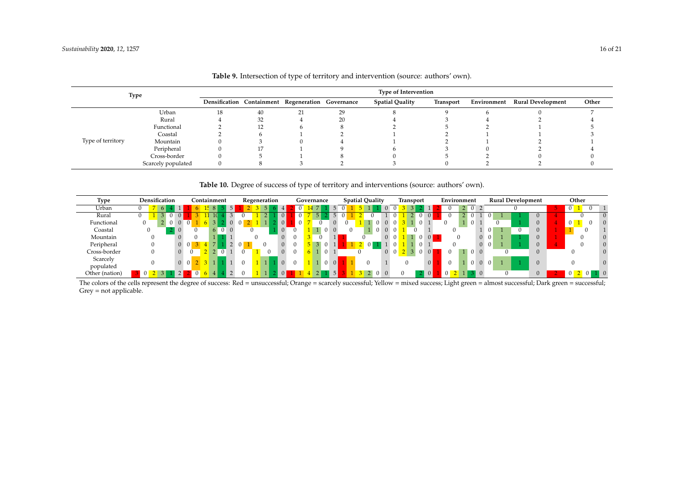|                   | <b>Type</b>        |    |    |                                                   |    | <b>Type of Intervention</b> |                  |                               |       |
|-------------------|--------------------|----|----|---------------------------------------------------|----|-----------------------------|------------------|-------------------------------|-------|
|                   |                    |    |    | Densification Containment Regeneration Governance |    | <b>Spatial Quality</b>      | <b>Transport</b> | Environment Rural Development | Other |
|                   | Urban              | 18 | 40 |                                                   | 29 |                             |                  |                               |       |
|                   | Rural              |    | 32 |                                                   | 20 |                             |                  |                               |       |
|                   | Functional         |    |    |                                                   |    |                             |                  |                               |       |
|                   | Coastal            |    |    |                                                   |    |                             |                  |                               |       |
| Type of territory | Mountain           |    |    |                                                   |    |                             |                  |                               |       |
|                   | Peripheral         |    |    |                                                   |    |                             |                  |                               |       |
|                   | Cross-border       |    |    |                                                   |    |                             |                  |                               |       |
|                   | Scarcely populated |    |    |                                                   |    |                             |                  |                               |       |

| Table 9. Intersection of type of territory and intervention (source: authors' own). |  |  |  |  |  |  |
|-------------------------------------------------------------------------------------|--|--|--|--|--|--|
|-------------------------------------------------------------------------------------|--|--|--|--|--|--|

Table 10. Degree of success of type of territory and interventions (source: authors' own).

| Type                  | Densification | Containment                | Regeneration               | Governance              | <b>Spatial Quality</b> | Environment<br><b>Transport</b>                        | <b>Rural Development</b>   | Other          |
|-----------------------|---------------|----------------------------|----------------------------|-------------------------|------------------------|--------------------------------------------------------|----------------------------|----------------|
| Urban                 | $\epsilon$    |                            |                            |                         |                        | $2 \quad 0 \quad 2$                                    |                            |                |
| Rural                 |               | $\Omega$                   | 0 <br>$\mathbf{Z}$ .       |                         |                        | $\Omega$<br>$\Omega$<br>0 <sup>1</sup>                 | $\cup$                     |                |
| Functional            |               |                            | $\vert$ 0                  | $\Omega$                |                        | $\Omega$<br>$\Omega$<br>$\Omega$                       | $\Omega$                   |                |
| Coastal               |               | $\Omega$                   | 0                          | $1 \square$<br>$\Omega$ |                        | $\Omega$                                               | $\Omega$<br>$1 \quad$      |                |
| Mountain              |               |                            | $\overline{0}$             |                         |                        | $\Omega$<br>$\overline{0}$<br>$\vert 0 \vert$          | $0\quad 0$<br>$\Omega$     |                |
| Peripheral            |               | $\overline{0}$<br>$\Omega$ | $\overline{0}$             |                         | $\overline{0}$         | $\Omega$<br>$\Omega$                                   | $\overline{0}$<br>$\Omega$ |                |
| Cross-border          |               | $\Omega$<br>$\Omega$       | $\overline{0}$<br>$\Omega$ | 1.                      | $0\quad0$              | $1 \vert 0$<br>$\Omega$<br>$\Omega$<br>$\vert 0 \vert$ | $\Omega$<br>$\overline{0}$ |                |
| Scarcely<br>populated |               | 0 <sup>0</sup>             | $\Omega$<br>$\Omega$       | $\Omega$<br>$1 \square$ |                        | $\vert 0 \vert$<br>$\Omega$                            | $\overline{0}$<br>$\Omega$ | $\mathbf{0}$   |
| Other (nation)        |               | $\Omega$<br>$\vert$        | $\vert$ 0<br>$\Omega$      | $\vert 5 \vert$         |                        | $\Omega$<br>$\vert$ 0 $\vert$                          | $\Omega$<br>$\Omega$       | $\blacksquare$ |

The colors of the cells represent the degree of success: Red = unsuccessful; Orange = scarcely successful; Yellow = mixed success; Light green = almost successful; Dark green = successful; Grey = not applicable.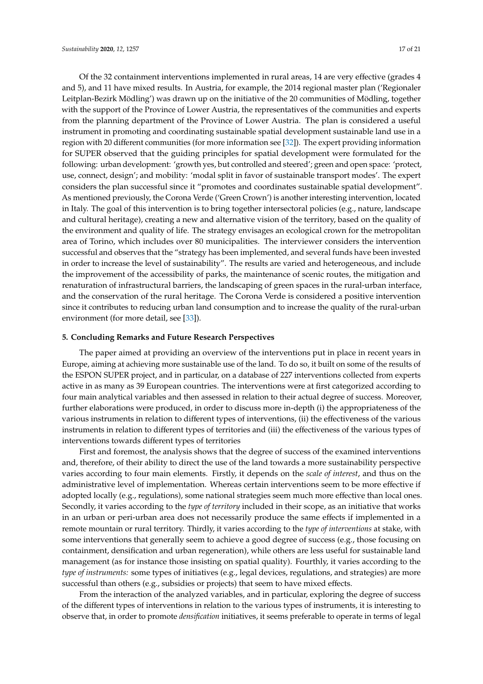Of the 32 containment interventions implemented in rural areas, 14 are very effective (grades 4 and 5), and 11 have mixed results. In Austria, for example, the 2014 regional master plan ('Regionaler Leitplan-Bezirk Mödling') was drawn up on the initiative of the 20 communities of Mödling, together with the support of the Province of Lower Austria, the representatives of the communities and experts from the planning department of the Province of Lower Austria. The plan is considered a useful instrument in promoting and coordinating sustainable spatial development sustainable land use in a region with 20 different communities (for more information see [32]). The expert providing information for SUPER observed that the guiding principles for spatial development were formulated for the following: urban development: 'growth yes, but controlled and steered'; green and open space: 'protect, use, connect, design'; and mobility: 'modal split in favor of sustainable transport modes'. The expert considers the plan successful since it "promotes and coordinates sustainable spatial development". As mentioned previously, the Corona Verde ('Green Crown') is another interesting intervention, located in Italy. The goal of this intervention is to bring together intersectoral policies (e.g., nature, landscape and cultural heritage), creating a new and alternative vision of the territory, based on the quality of the environment and quality of life. The strategy envisages an ecological crown for the metropolitan area of Torino, which includes over 80 municipalities. The interviewer considers the intervention successful and observes that the "strategy has been implemented, and several funds have been invested in order to increase the level of sustainability". The results are varied and heterogeneous, and include the improvement of the accessibility of parks, the maintenance of scenic routes, the mitigation and renaturation of infrastructural barriers, the landscaping of green spaces in the rural-urban interface, and the conservation of the rural heritage. The Corona Verde is considered a positive intervention since it contributes to reducing urban land consumption and to increase the quality of the rural-urban environment (for more detail, see [33]).

#### **5. Concluding Remarks and Future Research Perspectives**

The paper aimed at providing an overview of the interventions put in place in recent years in Europe, aiming at achieving more sustainable use of the land. To do so, it built on some of the results of the ESPON SUPER project, and in particular, on a database of 227 interventions collected from experts active in as many as 39 European countries. The interventions were at first categorized according to four main analytical variables and then assessed in relation to their actual degree of success. Moreover, further elaborations were produced, in order to discuss more in-depth (i) the appropriateness of the various instruments in relation to different types of interventions, (ii) the effectiveness of the various instruments in relation to different types of territories and (iii) the effectiveness of the various types of interventions towards different types of territories

First and foremost, the analysis shows that the degree of success of the examined interventions and, therefore, of their ability to direct the use of the land towards a more sustainability perspective varies according to four main elements. Firstly, it depends on the *scale of interest*, and thus on the administrative level of implementation. Whereas certain interventions seem to be more effective if adopted locally (e.g., regulations), some national strategies seem much more effective than local ones. Secondly, it varies according to the *type of territory* included in their scope, as an initiative that works in an urban or peri-urban area does not necessarily produce the same effects if implemented in a remote mountain or rural territory. Thirdly, it varies according to the *type of interventions* at stake, with some interventions that generally seem to achieve a good degree of success (e.g., those focusing on containment, densification and urban regeneration), while others are less useful for sustainable land management (as for instance those insisting on spatial quality). Fourthly, it varies according to the *type of instruments:* some types of initiatives (e.g., legal devices, regulations, and strategies) are more successful than others (e.g., subsidies or projects) that seem to have mixed effects.

From the interaction of the analyzed variables, and in particular, exploring the degree of success of the different types of interventions in relation to the various types of instruments, it is interesting to observe that, in order to promote *densification* initiatives, it seems preferable to operate in terms of legal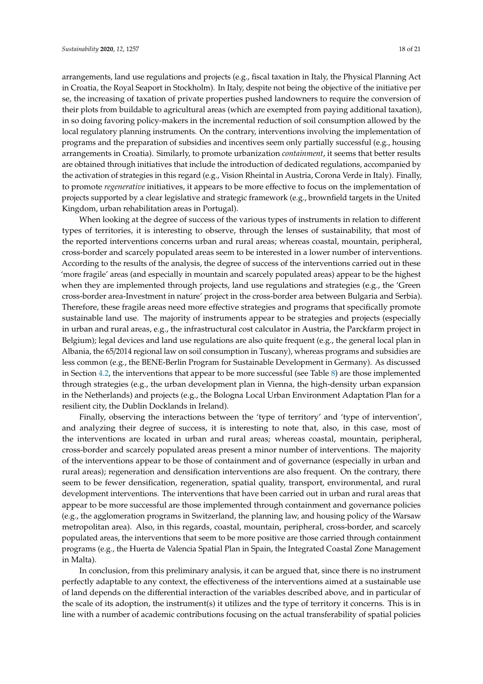arrangements, land use regulations and projects (e.g., fiscal taxation in Italy, the Physical Planning Act in Croatia, the Royal Seaport in Stockholm). In Italy, despite not being the objective of the initiative per se, the increasing of taxation of private properties pushed landowners to require the conversion of their plots from buildable to agricultural areas (which are exempted from paying additional taxation), in so doing favoring policy-makers in the incremental reduction of soil consumption allowed by the local regulatory planning instruments. On the contrary, interventions involving the implementation of programs and the preparation of subsidies and incentives seem only partially successful (e.g., housing arrangements in Croatia). Similarly, to promote urbanization *containment*, it seems that better results are obtained through initiatives that include the introduction of dedicated regulations, accompanied by the activation of strategies in this regard (e.g., Vision Rheintal in Austria, Corona Verde in Italy). Finally, to promote *regenerative* initiatives, it appears to be more effective to focus on the implementation of projects supported by a clear legislative and strategic framework (e.g., brownfield targets in the United Kingdom, urban rehabilitation areas in Portugal).

When looking at the degree of success of the various types of instruments in relation to different types of territories, it is interesting to observe, through the lenses of sustainability, that most of the reported interventions concerns urban and rural areas; whereas coastal, mountain, peripheral, cross-border and scarcely populated areas seem to be interested in a lower number of interventions. According to the results of the analysis, the degree of success of the interventions carried out in these 'more fragile' areas (and especially in mountain and scarcely populated areas) appear to be the highest when they are implemented through projects, land use regulations and strategies (e.g., the 'Green cross-border area-Investment in nature' project in the cross-border area between Bulgaria and Serbia). Therefore, these fragile areas need more effective strategies and programs that specifically promote sustainable land use. The majority of instruments appear to be strategies and projects (especially in urban and rural areas, e.g., the infrastructural cost calculator in Austria, the Parckfarm project in Belgium); legal devices and land use regulations are also quite frequent (e.g., the general local plan in Albania, the 65/2014 regional law on soil consumption in Tuscany), whereas programs and subsidies are less common (e.g., the BENE-Berlin Program for Sustainable Development in Germany). As discussed in Section 4.2, the interventions that appear to be more successful (see Table 8) are those implemented through strategies (e.g., the urban development plan in Vienna, the high-density urban expansion in the Netherlands) and projects (e.g., the Bologna Local Urban Environment Adaptation Plan for a resilient city, the Dublin Docklands in Ireland).

Finally, observing the interactions between the 'type of territory' and 'type of intervention', and analyzing their degree of success, it is interesting to note that, also, in this case, most of the interventions are located in urban and rural areas; whereas coastal, mountain, peripheral, cross-border and scarcely populated areas present a minor number of interventions. The majority of the interventions appear to be those of containment and of governance (especially in urban and rural areas); regeneration and densification interventions are also frequent. On the contrary, there seem to be fewer densification, regeneration, spatial quality, transport, environmental, and rural development interventions. The interventions that have been carried out in urban and rural areas that appear to be more successful are those implemented through containment and governance policies (e.g., the agglomeration programs in Switzerland, the planning law, and housing policy of the Warsaw metropolitan area). Also, in this regards, coastal, mountain, peripheral, cross-border, and scarcely populated areas, the interventions that seem to be more positive are those carried through containment programs (e.g., the Huerta de Valencia Spatial Plan in Spain, the Integrated Coastal Zone Management in Malta).

In conclusion, from this preliminary analysis, it can be argued that, since there is no instrument perfectly adaptable to any context, the effectiveness of the interventions aimed at a sustainable use of land depends on the differential interaction of the variables described above, and in particular of the scale of its adoption, the instrument(s) it utilizes and the type of territory it concerns. This is in line with a number of academic contributions focusing on the actual transferability of spatial policies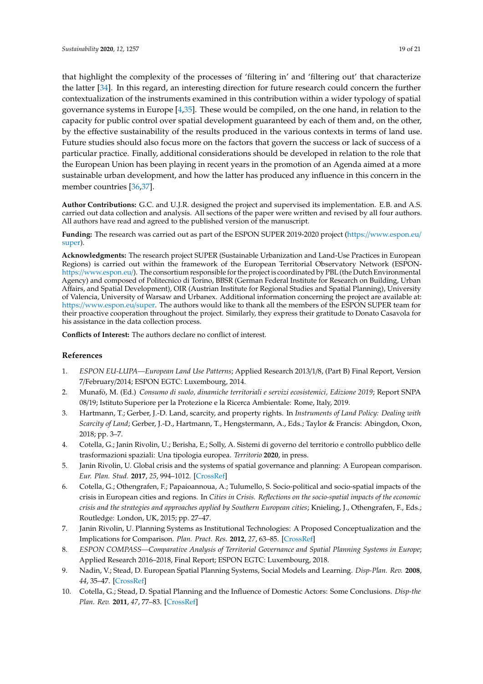that highlight the complexity of the processes of 'filtering in' and 'filtering out' that characterize the latter [34]. In this regard, an interesting direction for future research could concern the further contextualization of the instruments examined in this contribution within a wider typology of spatial governance systems in Europe [4,35]. These would be compiled, on the one hand, in relation to the capacity for public control over spatial development guaranteed by each of them and, on the other, by the effective sustainability of the results produced in the various contexts in terms of land use. Future studies should also focus more on the factors that govern the success or lack of success of a particular practice. Finally, additional considerations should be developed in relation to the role that the European Union has been playing in recent years in the promotion of an Agenda aimed at a more sustainable urban development, and how the latter has produced any influence in this concern in the member countries [36,37].

**Author Contributions:** G.C. and U.J.R. designed the project and supervised its implementation. E.B. and A.S. carried out data collection and analysis. All sections of the paper were written and revised by all four authors. All authors have read and agreed to the published version of the manuscript.

**Funding:** The research was carried out as part of the ESPON SUPER 2019-2020 project (https://[www.espon.eu](https://www.espon.eu/super)/ [super\)](https://www.espon.eu/super).

**Acknowledgments:** The research project SUPER (Sustainable Urbanization and Land-Use Practices in European Regions) is carried out within the framework of the European Territorial Observatory Network (ESPONhttps://[www.espon.eu](https://www.espon.eu/)/). The consortium responsible for the project is coordinated by PBL (the Dutch Environmental Agency) and composed of Politecnico di Torino, BBSR (German Federal Institute for Research on Building, Urban Affairs, and Spatial Development), OIR (Austrian Institute for Regional Studies and Spatial Planning), University of Valencia, University of Warsaw and Urbanex. Additional information concerning the project are available at: https://[www.espon.eu](https://www.espon.eu/super)/super. The authors would like to thank all the members of the ESPON SUPER team for their proactive cooperation throughout the project. Similarly, they express their gratitude to Donato Casavola for his assistance in the data collection process.

**Conflicts of Interest:** The authors declare no conflict of interest.

#### **References**

- 1. *ESPON EU-LUPA—European Land Use Patterns*; Applied Research 2013/1/8, (Part B) Final Report, Version 7/February/2014; ESPON EGTC: Luxembourg, 2014.
- 2. Munafò, M. (Ed.) *Consumo di suolo, dinamiche territoriali e servizi ecosistemici, Edizione 2019*; Report SNPA 08/19; Istituto Superiore per la Protezione e la Ricerca Ambientale: Rome, Italy, 2019.
- 3. Hartmann, T.; Gerber, J.-D. Land, scarcity, and property rights. In *Instruments of Land Policy: Dealing with Scarcity of Land*; Gerber, J.-D., Hartmann, T., Hengstermann, A., Eds.; Taylor & Francis: Abingdon, Oxon, 2018; pp. 3–7.
- 4. Cotella, G.; Janin Rivolin, U.; Berisha, E.; Solly, A. Sistemi di governo del territorio e controllo pubblico delle trasformazioni spaziali: Una tipologia europea. *Territorio* **2020**, in press.
- 5. Janin Rivolin, U. Global crisis and the systems of spatial governance and planning: A European comparison. *Eur. Plan. Stud.* **2017**, *25*, 994–1012. [\[CrossRef\]](http://dx.doi.org/10.1080/09654313.2017.1296110)
- 6. Cotella, G.; Othengrafen, F.; Papaioannoua, A.; Tulumello, S. Socio-political and socio-spatial impacts of the crisis in European cities and regions. In *Cities in Crisis. Reflections on the socio-spatial impacts of the economic crisis and the strategies and approaches applied by Southern European cities*; Knieling, J., Othengrafen, F., Eds.; Routledge: London, UK, 2015; pp. 27–47.
- 7. Janin Rivolin, U. Planning Systems as Institutional Technologies: A Proposed Conceptualization and the Implications for Comparison. *Plan. Pract. Res.* **2012**, *27*, 63–85. [\[CrossRef\]](http://dx.doi.org/10.1080/02697459.2012.661181)
- 8. *ESPON COMPASS—Comparative Analysis of Territorial Governance and Spatial Planning Systems in Europe*; Applied Research 2016–2018, Final Report; ESPON EGTC: Luxembourg, 2018.
- 9. Nadin, V.; Stead, D. European Spatial Planning Systems, Social Models and Learning. *Disp-Plan. Rev.* **2008**, *44*, 35–47. [\[CrossRef\]](http://dx.doi.org/10.1080/02513625.2008.10557001)
- 10. Cotella, G.; Stead, D. Spatial Planning and the Influence of Domestic Actors: Some Conclusions. *Disp-the Plan. Rev.* **2011**, *47*, 77–83. [\[CrossRef\]](http://dx.doi.org/10.1080/02513625.2011.10557146)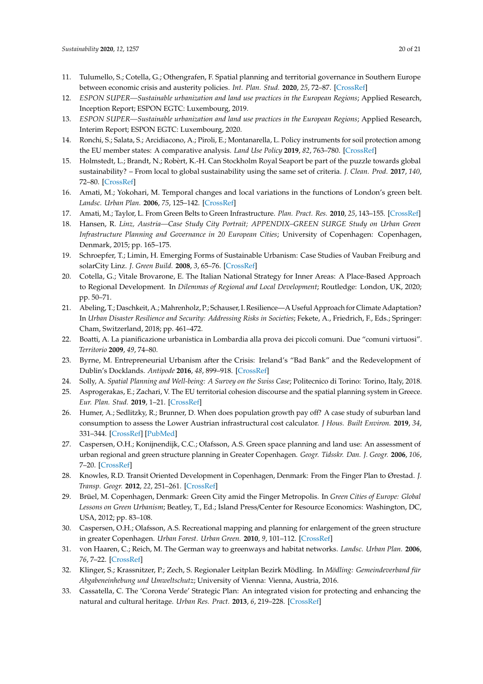- 11. Tulumello, S.; Cotella, G.; Othengrafen, F. Spatial planning and territorial governance in Southern Europe between economic crisis and austerity policies. *Int. Plan. Stud.* **2020**, *25*, 72–87. [\[CrossRef\]](http://dx.doi.org/10.1080/13563475.2019.1701422)
- 12. *ESPON SUPER—Sustainable urbanization and land use practices in the European Regions*; Applied Research, Inception Report; ESPON EGTC: Luxembourg, 2019.
- 13. *ESPON SUPER—Sustainable urbanization and land use practices in the European Regions*; Applied Research, Interim Report; ESPON EGTC: Luxembourg, 2020.
- 14. Ronchi, S.; Salata, S.; Arcidiacono, A.; Piroli, E.; Montanarella, L. Policy instruments for soil protection among the EU member states: A comparative analysis. *Land Use Policy* **2019**, *82*, 763–780. [\[CrossRef\]](http://dx.doi.org/10.1016/j.landusepol.2019.01.017)
- 15. Holmstedt, L.; Brandt, N.; Robèrt, K.-H. Can Stockholm Royal Seaport be part of the puzzle towards global sustainability? – From local to global sustainability using the same set of criteria. *J. Clean. Prod.* **2017**, *140*, 72–80. [\[CrossRef\]](http://dx.doi.org/10.1016/j.jclepro.2016.07.019)
- 16. Amati, M.; Yokohari, M. Temporal changes and local variations in the functions of London's green belt. *Landsc. Urban Plan.* **2006**, *75*, 125–142. [\[CrossRef\]](http://dx.doi.org/10.1016/j.landurbplan.2004.12.007)
- 17. Amati, M.; Taylor, L. From Green Belts to Green Infrastructure. *Plan. Pract. Res.* **2010**, *25*, 143–155. [\[CrossRef\]](http://dx.doi.org/10.1080/02697451003740122)
- 18. Hansen, R. *Linz, Austria—Case Study City Portrait; APPENDIX–GREEN SURGE Study on Urban Green Infrastructure Planning and Governance in 20 European Cities*; University of Copenhagen: Copenhagen, Denmark, 2015; pp. 165–175.
- 19. Schroepfer, T.; Limin, H. Emerging Forms of Sustainable Urbanism: Case Studies of Vauban Freiburg and solarCity Linz. *J. Green Build.* **2008**, *3*, 65–76. [\[CrossRef\]](http://dx.doi.org/10.3992/jgb.3.2.65)
- 20. Cotella, G.; Vitale Brovarone, E. The Italian National Strategy for Inner Areas: A Place-Based Approach to Regional Development. In *Dilemmas of Regional and Local Development*; Routledge: London, UK, 2020; pp. 50–71.
- 21. Abeling, T.; Daschkeit, A.; Mahrenholz, P.; Schauser, I. Resilience—A Useful Approach for Climate Adaptation? In *Urban Disaster Resilience and Security: Addressing Risks in Societies*; Fekete, A., Friedrich, F., Eds.; Springer: Cham, Switzerland, 2018; pp. 461–472.
- 22. Boatti, A. La pianificazione urbanistica in Lombardia alla prova dei piccoli comuni. Due "comuni virtuosi". *Territorio* **2009**, *49*, 74–80.
- 23. Byrne, M. Entrepreneurial Urbanism after the Crisis: Ireland's "Bad Bank" and the Redevelopment of Dublin's Docklands. *Antipode* **2016**, *48*, 899–918. [\[CrossRef\]](http://dx.doi.org/10.1111/anti.12231)
- 24. Solly, A. *Spatial Planning and Well-being: A Survey on the Swiss Case*; Politecnico di Torino: Torino, Italy, 2018.
- 25. Asprogerakas, E.; Zachari, V. The EU territorial cohesion discourse and the spatial planning system in Greece. *Eur. Plan. Stud.* **2019**, 1–21. [\[CrossRef\]](http://dx.doi.org/10.1080/09654313.2019.1628925)
- 26. Humer, A.; Sedlitzky, R.; Brunner, D. When does population growth pay off? A case study of suburban land consumption to assess the Lower Austrian infrastructural cost calculator. *J Hous. Built Environ.* **2019**, *34*, 331–344. [\[CrossRef\]](http://dx.doi.org/10.1007/s10901-018-09639-7) [\[PubMed\]](http://www.ncbi.nlm.nih.gov/pubmed/30881263)
- 27. Caspersen, O.H.; Konijnendijk, C.C.; Olafsson, A.S. Green space planning and land use: An assessment of urban regional and green structure planning in Greater Copenhagen. *Geogr. Tidsskr. Dan. J. Geogr.* **2006**, *106*, 7–20. [\[CrossRef\]](http://dx.doi.org/10.1080/00167223.2006.10649553)
- 28. Knowles, R.D. Transit Oriented Development in Copenhagen, Denmark: From the Finger Plan to Ørestad. *J. Transp. Geogr.* **2012**, *22*, 251–261. [\[CrossRef\]](http://dx.doi.org/10.1016/j.jtrangeo.2012.01.009)
- 29. Brüel, M. Copenhagen, Denmark: Green City amid the Finger Metropolis. In *Green Cities of Europe: Global Lessons on Green Urbanism*; Beatley, T., Ed.; Island Press/Center for Resource Economics: Washington, DC, USA, 2012; pp. 83–108.
- 30. Caspersen, O.H.; Olafsson, A.S. Recreational mapping and planning for enlargement of the green structure in greater Copenhagen. *Urban Forest. Urban Green.* **2010**, *9*, 101–112. [\[CrossRef\]](http://dx.doi.org/10.1016/j.ufug.2009.06.007)
- 31. von Haaren, C.; Reich, M. The German way to greenways and habitat networks. *Landsc. Urban Plan.* **2006**, *76*, 7–22. [\[CrossRef\]](http://dx.doi.org/10.1016/j.landurbplan.2004.09.041)
- 32. Klinger, S.; Krassnitzer, P.; Zech, S. Regionaler Leitplan Bezirk Mödling. In *Mödling: Gemeindeverband für Abgabeneinhebung und Umweltschutz*; University of Vienna: Vienna, Austria, 2016.
- 33. Cassatella, C. The 'Corona Verde' Strategic Plan: An integrated vision for protecting and enhancing the natural and cultural heritage. *Urban Res. Pract.* **2013**, *6*, 219–228. [\[CrossRef\]](http://dx.doi.org/10.1080/17535069.2013.810933)